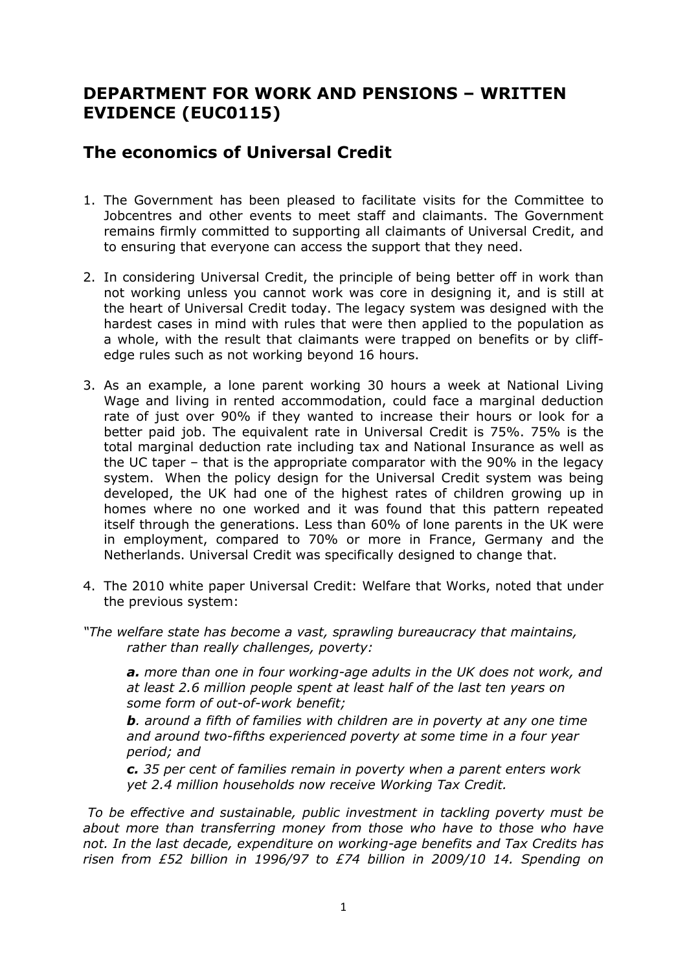## **DEPARTMENT FOR WORK AND PENSIONS – WRITTEN EVIDENCE (EUC0115)**

## **The economics of Universal Credit**

- 1. The Government has been pleased to facilitate visits for the Committee to Jobcentres and other events to meet staff and claimants. The Government remains firmly committed to supporting all claimants of Universal Credit, and to ensuring that everyone can access the support that they need.
- 2. In considering Universal Credit, the principle of being better off in work than not working unless you cannot work was core in designing it, and is still at the heart of Universal Credit today. The legacy system was designed with the hardest cases in mind with rules that were then applied to the population as a whole, with the result that claimants were trapped on benefits or by cliffedge rules such as not working beyond 16 hours.
- 3. As an example, a lone parent working 30 hours a week at National Living Wage and living in rented accommodation, could face a marginal deduction rate of just over 90% if they wanted to increase their hours or look for a better paid job. The equivalent rate in Universal Credit is 75%. 75% is the total marginal deduction rate including tax and National Insurance as well as the UC taper – that is the appropriate comparator with the 90% in the legacy system. When the policy design for the Universal Credit system was being developed, the UK had one of the highest rates of children growing up in homes where no one worked and it was found that this pattern repeated itself through the generations. Less than 60% of lone parents in the UK were in employment, compared to 70% or more in France, Germany and the Netherlands. Universal Credit was specifically designed to change that.
- 4. The 2010 white paper Universal Credit: Welfare that Works, noted that under the previous system:
- *"The welfare state has become a vast, sprawling bureaucracy that maintains, rather than really challenges, poverty:*

*a. more than one in four working-age adults in the UK does not work, and at least 2.6 million people spent at least half of the last ten years on some form of out-of-work benefit;* 

*b. around a fifth of families with children are in poverty at any one time and around two-fifths experienced poverty at some time in a four year period; and*

*c. 35 per cent of families remain in poverty when a parent enters work yet 2.4 million households now receive Working Tax Credit.*

*To be effective and sustainable, public investment in tackling poverty must be about more than transferring money from those who have to those who have not. In the last decade, expenditure on working-age benefits and Tax Credits has risen from £52 billion in 1996/97 to £74 billion in 2009/10 14. Spending on*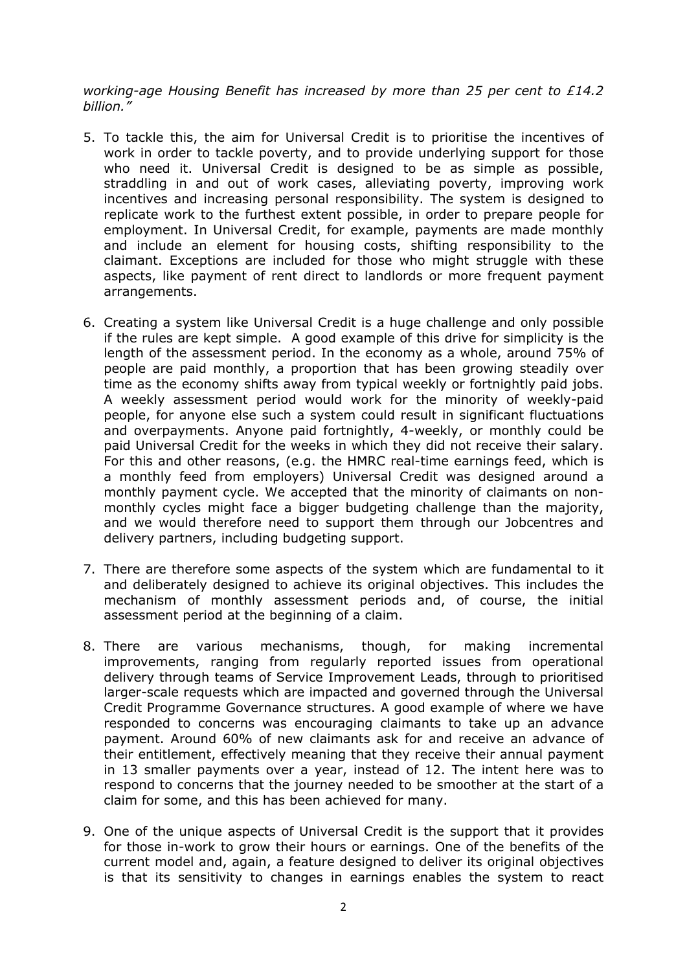*working-age Housing Benefit has increased by more than 25 per cent to £14.2 billion."*

- 5. To tackle this, the aim for Universal Credit is to prioritise the incentives of work in order to tackle poverty, and to provide underlying support for those who need it. Universal Credit is designed to be as simple as possible, straddling in and out of work cases, alleviating poverty, improving work incentives and increasing personal responsibility. The system is designed to replicate work to the furthest extent possible, in order to prepare people for employment. In Universal Credit, for example, payments are made monthly and include an element for housing costs, shifting responsibility to the claimant. Exceptions are included for those who might struggle with these aspects, like payment of rent direct to landlords or more frequent payment arrangements.
- 6. Creating a system like Universal Credit is a huge challenge and only possible if the rules are kept simple. A good example of this drive for simplicity is the length of the assessment period. In the economy as a whole, around 75% of people are paid monthly, a proportion that has been growing steadily over time as the economy shifts away from typical weekly or fortnightly paid jobs. A weekly assessment period would work for the minority of weekly-paid people, for anyone else such a system could result in significant fluctuations and overpayments. Anyone paid fortnightly, 4-weekly, or monthly could be paid Universal Credit for the weeks in which they did not receive their salary. For this and other reasons, (e.g. the HMRC real-time earnings feed, which is a monthly feed from employers) Universal Credit was designed around a monthly payment cycle. We accepted that the minority of claimants on nonmonthly cycles might face a bigger budgeting challenge than the majority, and we would therefore need to support them through our Jobcentres and delivery partners, including budgeting support.
- 7. There are therefore some aspects of the system which are fundamental to it and deliberately designed to achieve its original objectives. This includes the mechanism of monthly assessment periods and, of course, the initial assessment period at the beginning of a claim.
- 8. There are various mechanisms, though, for making incremental improvements, ranging from regularly reported issues from operational delivery through teams of Service Improvement Leads, through to prioritised larger-scale requests which are impacted and governed through the Universal Credit Programme Governance structures. A good example of where we have responded to concerns was encouraging claimants to take up an advance payment. Around 60% of new claimants ask for and receive an advance of their entitlement, effectively meaning that they receive their annual payment in 13 smaller payments over a year, instead of 12. The intent here was to respond to concerns that the journey needed to be smoother at the start of a claim for some, and this has been achieved for many.
- 9. One of the unique aspects of Universal Credit is the support that it provides for those in-work to grow their hours or earnings. One of the benefits of the current model and, again, a feature designed to deliver its original objectives is that its sensitivity to changes in earnings enables the system to react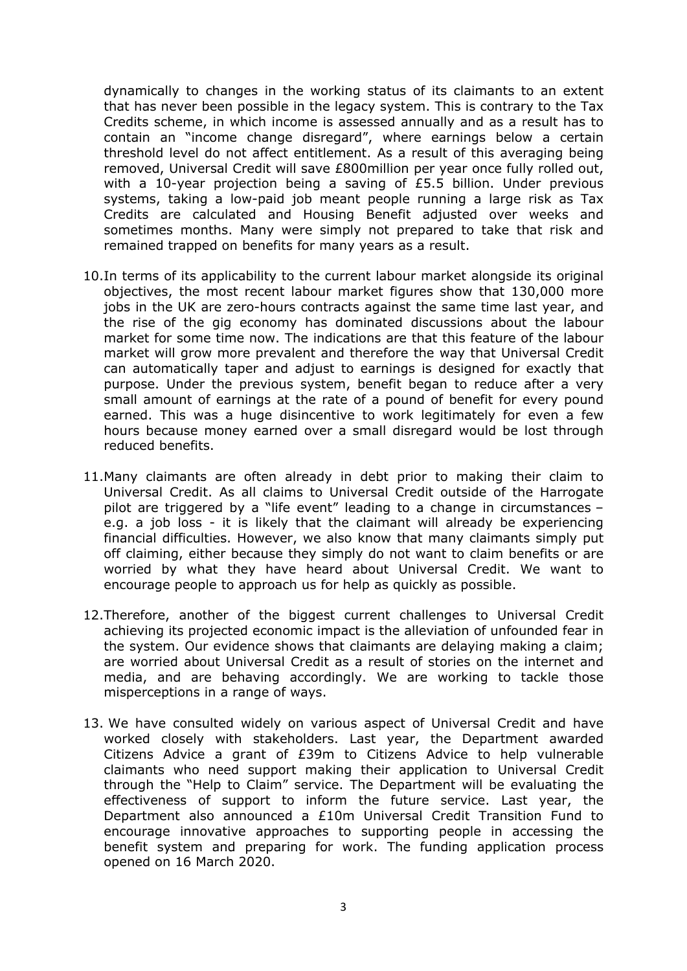dynamically to changes in the working status of its claimants to an extent that has never been possible in the legacy system. This is contrary to the Tax Credits scheme, in which income is assessed annually and as a result has to contain an "income change disregard", where earnings below a certain threshold level do not affect entitlement. As a result of this averaging being removed, Universal Credit will save £800million per year once fully rolled out, with a 10-year projection being a saving of £5.5 billion. Under previous systems, taking a low-paid job meant people running a large risk as Tax Credits are calculated and Housing Benefit adjusted over weeks and sometimes months. Many were simply not prepared to take that risk and remained trapped on benefits for many years as a result.

- 10.In terms of its applicability to the current labour market alongside its original objectives, the most recent labour market figures show that 130,000 more jobs in the UK are zero-hours contracts against the same time last year, and the rise of the gig economy has dominated discussions about the labour market for some time now. The indications are that this feature of the labour market will grow more prevalent and therefore the way that Universal Credit can automatically taper and adjust to earnings is designed for exactly that purpose. Under the previous system, benefit began to reduce after a very small amount of earnings at the rate of a pound of benefit for every pound earned. This was a huge disincentive to work legitimately for even a few hours because money earned over a small disregard would be lost through reduced benefits.
- 11.Many claimants are often already in debt prior to making their claim to Universal Credit. As all claims to Universal Credit outside of the Harrogate pilot are triggered by a "life event" leading to a change in circumstances – e.g. a job loss - it is likely that the claimant will already be experiencing financial difficulties. However, we also know that many claimants simply put off claiming, either because they simply do not want to claim benefits or are worried by what they have heard about Universal Credit. We want to encourage people to approach us for help as quickly as possible.
- 12.Therefore, another of the biggest current challenges to Universal Credit achieving its projected economic impact is the alleviation of unfounded fear in the system. Our evidence shows that claimants are delaying making a claim; are worried about Universal Credit as a result of stories on the internet and media, and are behaving accordingly. We are working to tackle those misperceptions in a range of ways.
- 13. We have consulted widely on various aspect of Universal Credit and have worked closely with stakeholders. Last year, the Department awarded Citizens Advice a grant of £39m to Citizens Advice to help vulnerable claimants who need support making their application to Universal Credit through the "Help to Claim" service. The Department will be evaluating the effectiveness of support to inform the future service. Last year, the Department also announced a £10m Universal Credit Transition Fund to encourage innovative approaches to supporting people in accessing the benefit system and preparing for work. The funding application process opened on 16 March 2020.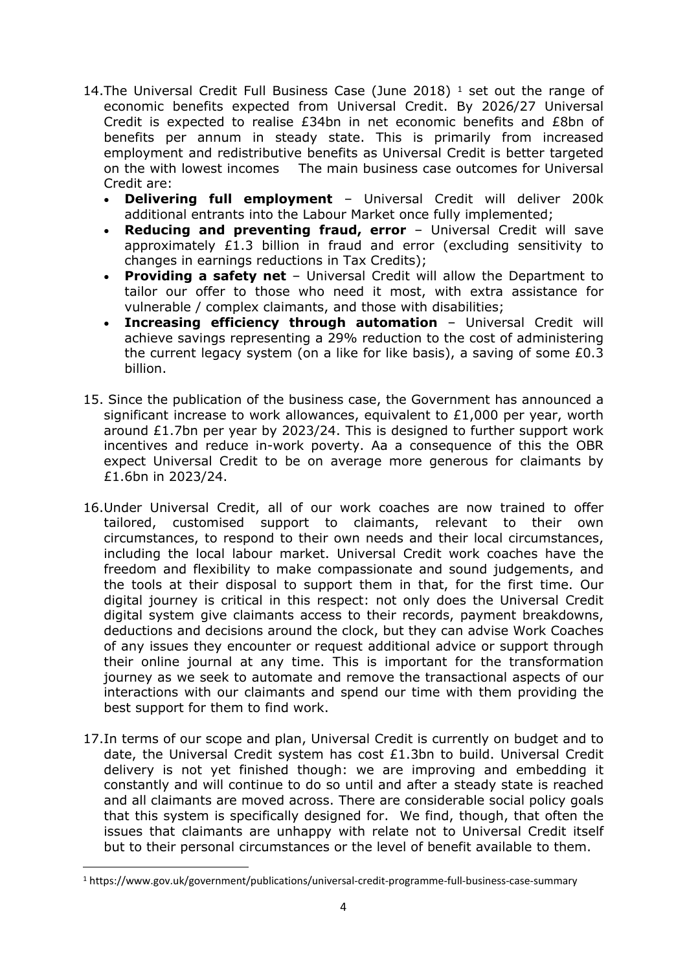- 14. The Universal Credit Full Business Case (June 2018)  $<sup>1</sup>$  set out the range of</sup> economic benefits expected from Universal Credit. By 2026/27 Universal Credit is expected to realise £34bn in net economic benefits and £8bn of benefits per annum in steady state. This is primarily from increased employment and redistributive benefits as Universal Credit is better targeted on the with lowest incomes The main business case outcomes for Universal Credit are:
	- **Delivering full employment** Universal Credit will deliver 200k additional entrants into the Labour Market once fully implemented;
	- **Reducing and preventing fraud, error** Universal Credit will save approximately £1.3 billion in fraud and error (excluding sensitivity to changes in earnings reductions in Tax Credits);
	- **Providing a safety net** Universal Credit will allow the Department to tailor our offer to those who need it most, with extra assistance for vulnerable / complex claimants, and those with disabilities;
	- **Increasing efficiency through automation** Universal Credit will achieve savings representing a 29% reduction to the cost of administering the current legacy system (on a like for like basis), a saving of some £0.3 billion.
- 15. Since the publication of the business case, the Government has announced a significant increase to work allowances, equivalent to £1,000 per year, worth around  $£1.7$ bn per year by 2023/24. This is designed to further support work incentives and reduce in-work poverty. Aa a consequence of this the OBR expect Universal Credit to be on average more generous for claimants by £1.6bn in 2023/24.
- 16.Under Universal Credit, all of our work coaches are now trained to offer tailored, customised support to claimants, relevant to their own circumstances, to respond to their own needs and their local circumstances, including the local labour market. Universal Credit work coaches have the freedom and flexibility to make compassionate and sound judgements, and the tools at their disposal to support them in that, for the first time. Our digital journey is critical in this respect: not only does the Universal Credit digital system give claimants access to their records, payment breakdowns, deductions and decisions around the clock, but they can advise Work Coaches of any issues they encounter or request additional advice or support through their online journal at any time. This is important for the transformation journey as we seek to automate and remove the transactional aspects of our interactions with our claimants and spend our time with them providing the best support for them to find work.
- 17.In terms of our scope and plan, Universal Credit is currently on budget and to date, the Universal Credit system has cost £1.3bn to build. Universal Credit delivery is not yet finished though: we are improving and embedding it constantly and will continue to do so until and after a steady state is reached and all claimants are moved across. There are considerable social policy goals that this system is specifically designed for. We find, though, that often the issues that claimants are unhappy with relate not to Universal Credit itself but to their personal circumstances or the level of benefit available to them.

<sup>1</sup> https://www.gov.uk/government/publications/universal-credit-programme-full-business-case-summary